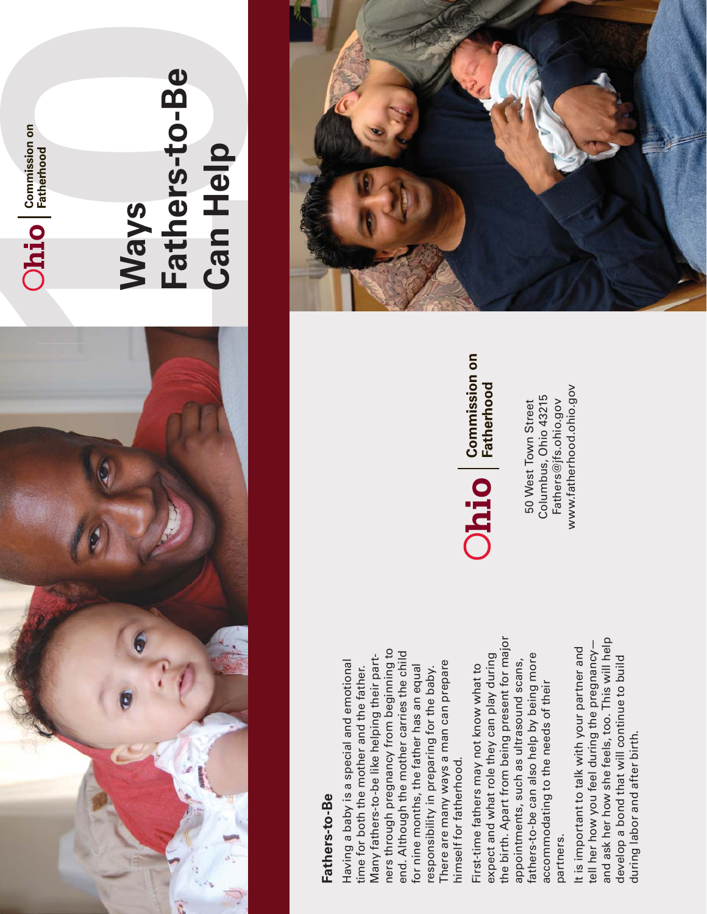

# $O$  $\overline{\textbf{hio}}$   $\overline{\textbf{hio}}$  Fatherhood

#### Fathers-to-Be **Fathers-to-Be Can HelpWays**

#### Fathers-to-Be **Fathers-to-Be**

ners through pregnancy from beginning to ners through pregnancy from beginning to end. Although the mother carries the child end. Although the mother carries the child Many fathers-to-be like helping their part-Many fathers-to-be like helping their part-Having a baby is a special and emotional There are many ways a man can prepare Having a baby is a special and emotional There are many ways a man can prepare time for both the mother and the father. for nine months, the father has an equal time for both the mother and the father. for nine months, the father has an equal responsibility in preparing for the baby. responsibility in preparing for the baby. himself for fatherhood. himself for fatherhood.

the birth. Apart from being present for major the birth. Apart from being present for major expect and what role they can play during fathers-to-be can also help by being more expect and what role they can play during fathers-to-be can also help by being more appointments, such as ultrasound scans, appointments, such as ultrasound scans, First-time fathers may not know what to First-time fathers may not know what to accommodating to the needs of their accommodating to the needs of their partners. partners.

and ask her how she feels, too. This will help and ask her how she feels, too. This will help tell her how you feel during the pregnancytell her how you feel during the pregnancy— It is important to talk with your partner and It is important to talk with your partner and develop a bond that will continue to build develop a bond that will continue to build during labor and after birth. during labor and after birth.



www.fatherhood.ohio.gov www.fatherhood.ohio.gov Columbus, Ohio 43215 Fathers@jfs.ohio.gov Columbus, Ohio 43215 50 West Town Street 50 West Town Street Fathers $@$  jfs.ohio.gov